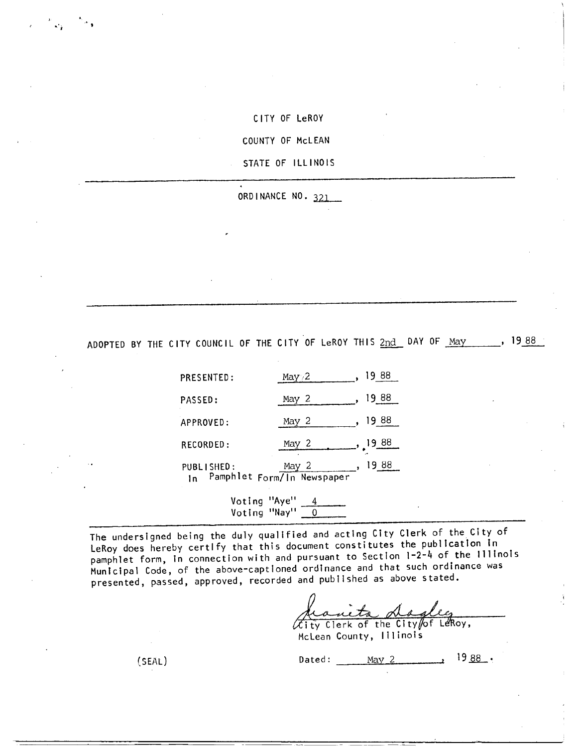CITY OF LeROY

COUNTY OF McLEAN

STATE OF ILLINOIS

ORDINANCE NO. 321

ADOPTED BY THE CITY COUNCIL OF THE CITY OF LeROY THIS 2nd DAY OF May 1988

| PRESENTED:       | May $/2$                            |          |
|------------------|-------------------------------------|----------|
| PASSED:          | May 2                               | 88       |
| APPROVED:        | May 2                               | 1988     |
| RECORDED:        | May 2                               | [19, 88] |
| PUBLISHED:<br>1n | May 2<br>Pamphlet Form/In Newspaper | 88<br>19 |

Voting "Aye" 4 Voting "Nay" 0

The undersigned being the duly qualified and acting City Clerk of the City of LeRoy does hereby certify that this document constitutes the publication in pamphlet form, in connection with and pursuant to Section 1-2-4 of the Illinois Municipal Code, of the above-captioned ordinance and that such ordinance was presented, passed, approved, recorded and published as above stated.

deanity dayley

McLean County, Illinois

(SEAL) Dated:  $\frac{May \ 2}{19.88}$ .

1 .' r

<sup>~</sup>f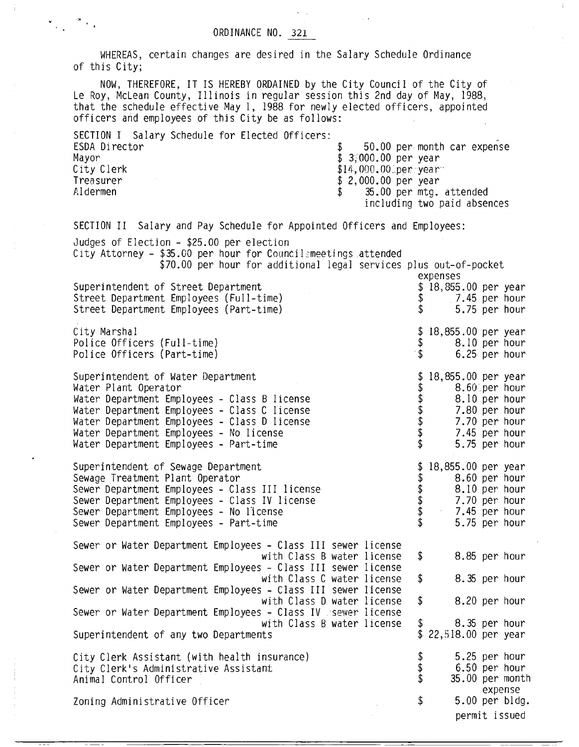## ORDINANCE NO. 321

WHEREAS, certain changes are desired in the Salary Schedule Ordinance of this City;

NOW, THEREFORE, IT IS HEREBY ORDAINED by the City Council of the City of Le Roy, McLean County, Illinois in regular session this 2nd day of May, 1988, that the schedule effective May 1, 1988 for newly elected officers, appointed officers and employees of this City be as follows:

SECTION I Salary Schedule for Elected Officers: ESDA Director \$ 50.00 per month car expense Mayor  $$ 3,000.00 \text{ per year}$ City Clerk  $$14,000.000$  per year of the state of the state of the state of the state of the state of the state of the state of the state of the state of the state of the state of the state of the state of the state of the Treasurer \$ 2,000.00 per year  $$ 35.00$  per mtg. attended including two paid absences

\$ 8.85 per hour \$ 8.35 per hour SECTION II Salary and Pay Schedule for Appointed Officers and Employees: Judges of Election - \$25.00 per election City Attorney - \$35.00 per hour for Councilsmeetings attended \$70.00 per hour for additional legal services plus out-of-pocket expenses Superintendent of Street Department \$ 18,855.00 per year<br>Street Department Employees (Full-time) \$ 7.45 per hour Street Department Employees (Full-time)  $\$ Street Department Employees (Part-time) \$ 5.75 per hour City Marshal Police Officers (Full-time) Police Officers (Part-time) Superintendent of Water Department Water Plant Operator Water Department Employees - Class B license Water Department Employees - Class C license Water Department Employees - Class D license Water Department Employees - No license Water Department Employees - Part-time \$ 18,855.00 per year \$ 8.10 per hour \$ 6.25 per hour \$ 18,855.00 per year \$ 8.60.per hour \$ 8.10 per hour \$ 7.80 per hour 7.70 per hour \$ 7.45 per hour 5.75 per hour Superintendent of Sewage Department Sewage Treatment Plant Operator Sewer Department Employees - Class III license Sewer Department Employees - Class IV license Sewer Department Employees - No license Sewer Department Employees - Part-time \$ 18,855.00 per year \$ 8.60 per hour \$ 8.10 per hour \$ 7.70 per hour \$ 7.45 per hour 5.75 per hour Sewer or Water Department Employees - Class III sewer license with Class B water license Sewer or Water Department Employees - Class III sewer license with Class C water license Sewer or Water Department Employees - Class III sewer license

\$ 8.20 per hour 8.35 per hour \$ 22,518.00 per year \$ 5.25 per hour \$ 6.50 per hour  $35.00$  per month expense \$ 5.00 per bldg. with Class D water license Sewer or Water Department Employees - Class IV sewer license with Class B water license Superintendent of any two Departments City Clerk Assistant (with health insurance) City Clerk's Administrative Assistant Animal Control Officer Zoning Administrative Officer

permit issued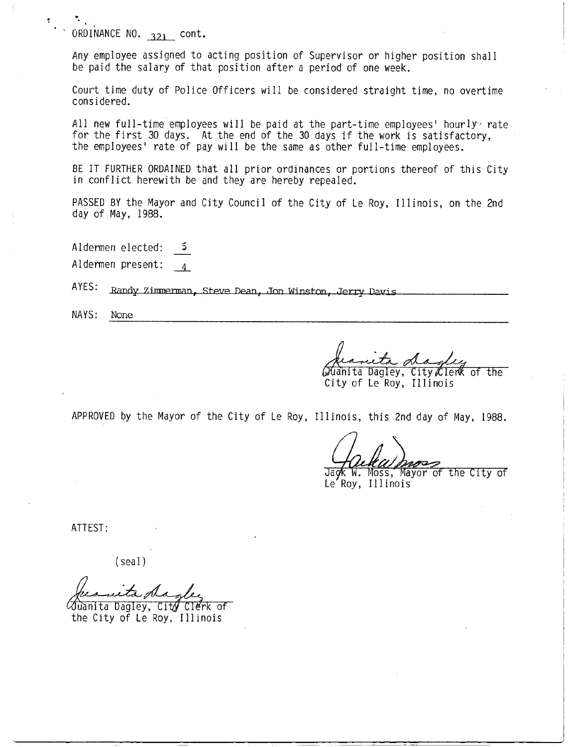$\cdot$  ORDINANCE NO. 321 cont.

Any employee assigned to acting position of Supervisor or higher position shall be paid the salary of that position after a period of one week.

Count time duty of Police Officers will be considered straight time, no overtime considered.

All new full-time employees will be paid at the part-time employees' hourly rate for the first 30 days. At the end of the 30 days if the work is satisfactory, the employees' rate of pay will be the same as other full-time employees.

BE IT FURTHER ORDAINED that all prior ordinances or portions thereof of this City in conflict herewith be and they are hereby repealed.

PASSED BY the Mayor and City Council of the City of Le Roy, Illinois, on the 2nd day of May, 1988.

Aldermen elected: ۰5.

Aldermen present:

AYES: Randy Zimmerman, Steve Dean, Jon Winston, Jerry Davis

NAYS: None

uanita Dagley, City∥lerK of the City of Le Roy, Illinois

APPROVED by the Mayor of the City of Le Roy, Illinois, this 2nd day of May, 1988.

Jack W. Moss, Mayor of the City of<br>Le Roy, Illinois

ATTEST:

 $(sed)$ 

∕Juanita Dagley, Cit∥ CIErk of

the City of Le Roy, Illinois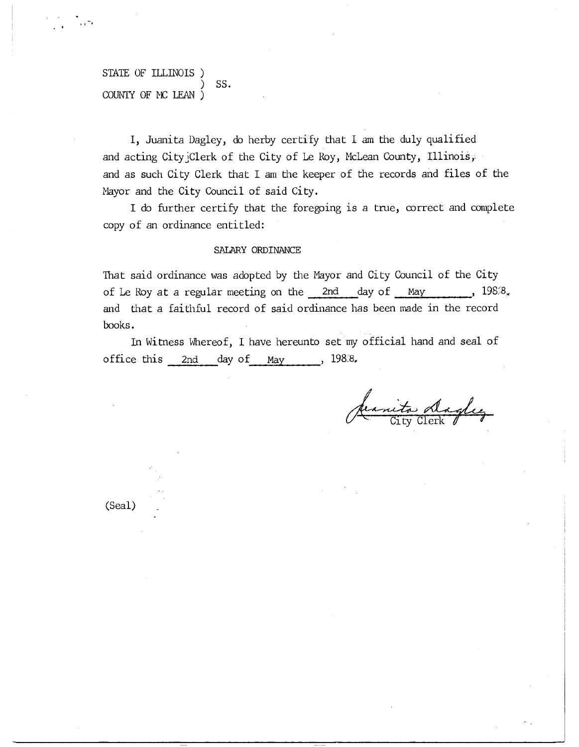## STATE OF ILLINOIS ) SS. COUNTY OF MC LEAN )

I, Juanita Dagley, do herby certify that I am the duly qualified and acting City<sup>-</sup>Clerk of the City of Le Roy, McLean County, Illinois, and as such City Clerk that I am the keeper of the records and files of the Mayor and the City Council of said City.

I do further certify that the foregoing is a true, correct and complete copy of an ordinance entitled:

## SALARY ORDINANCE

That said ordinance was adopted by the Mayor and City Council of the City of Le Roy at a regular meeting on the 2nd day of May 1988. and that a faithful record of said ordinance has been made in the record books.

In Witness Whereof, I have hereunto set my official hand and seal of office this  $2nd$  day of May , 198.8.

anita daglez

(Seal)